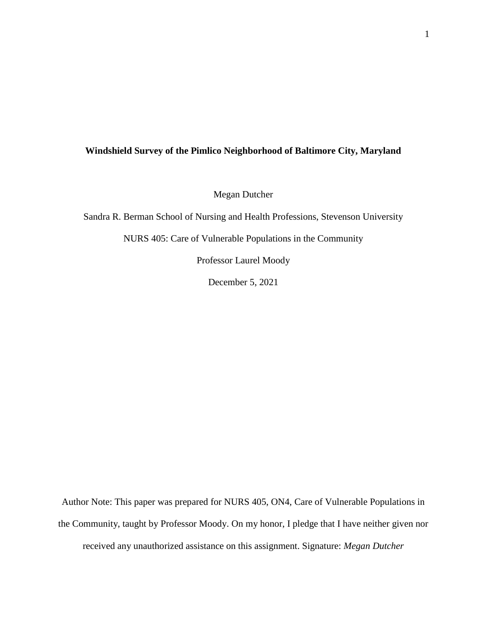## **Windshield Survey of the Pimlico Neighborhood of Baltimore City, Maryland**

Megan Dutcher

Sandra R. Berman School of Nursing and Health Professions, Stevenson University

NURS 405: Care of Vulnerable Populations in the Community

Professor Laurel Moody

December 5, 2021

Author Note: This paper was prepared for NURS 405, ON4, Care of Vulnerable Populations in the Community, taught by Professor Moody. On my honor, I pledge that I have neither given nor received any unauthorized assistance on this assignment. Signature: *Megan Dutcher*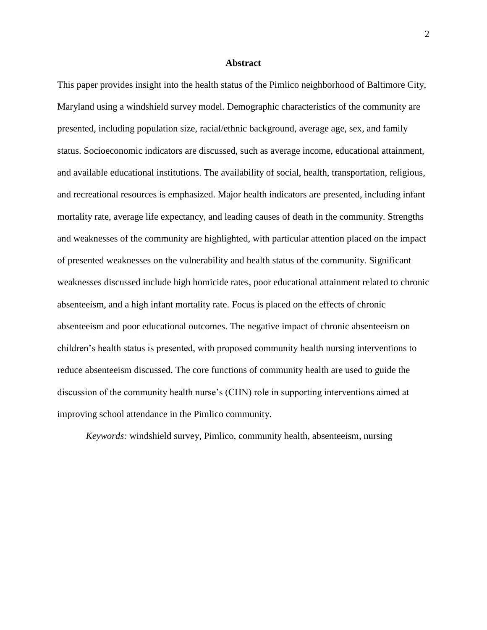## **Abstract**

This paper provides insight into the health status of the Pimlico neighborhood of Baltimore City, Maryland using a windshield survey model. Demographic characteristics of the community are presented, including population size, racial/ethnic background, average age, sex, and family status. Socioeconomic indicators are discussed, such as average income, educational attainment, and available educational institutions. The availability of social, health, transportation, religious, and recreational resources is emphasized. Major health indicators are presented, including infant mortality rate, average life expectancy, and leading causes of death in the community. Strengths and weaknesses of the community are highlighted, with particular attention placed on the impact of presented weaknesses on the vulnerability and health status of the community. Significant weaknesses discussed include high homicide rates, poor educational attainment related to chronic absenteeism, and a high infant mortality rate. Focus is placed on the effects of chronic absenteeism and poor educational outcomes. The negative impact of chronic absenteeism on children's health status is presented, with proposed community health nursing interventions to reduce absenteeism discussed. The core functions of community health are used to guide the discussion of the community health nurse's (CHN) role in supporting interventions aimed at improving school attendance in the Pimlico community.

*Keywords:* windshield survey, Pimlico, community health, absenteeism, nursing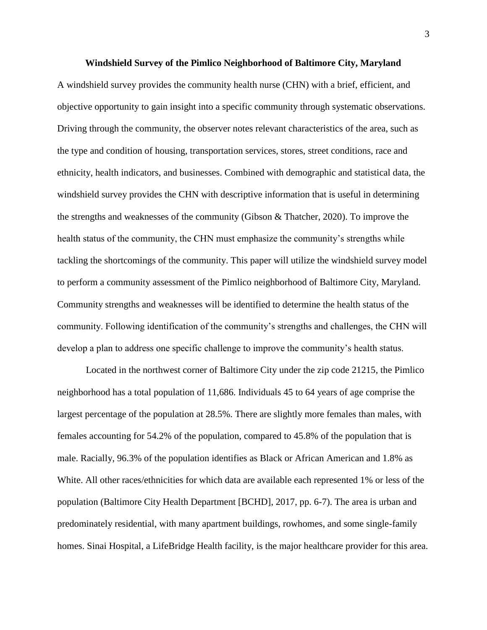A windshield survey provides the community health nurse (CHN) with a brief, efficient, and objective opportunity to gain insight into a specific community through systematic observations. Driving through the community, the observer notes relevant characteristics of the area, such as the type and condition of housing, transportation services, stores, street conditions, race and ethnicity, health indicators, and businesses. Combined with demographic and statistical data, the windshield survey provides the CHN with descriptive information that is useful in determining the strengths and weaknesses of the community (Gibson & Thatcher, 2020). To improve the health status of the community, the CHN must emphasize the community's strengths while tackling the shortcomings of the community. This paper will utilize the windshield survey model to perform a community assessment of the Pimlico neighborhood of Baltimore City, Maryland. Community strengths and weaknesses will be identified to determine the health status of the community. Following identification of the community's strengths and challenges, the CHN will develop a plan to address one specific challenge to improve the community's health status.

Located in the northwest corner of Baltimore City under the zip code 21215, the Pimlico neighborhood has a total population of 11,686. Individuals 45 to 64 years of age comprise the largest percentage of the population at 28.5%. There are slightly more females than males, with females accounting for 54.2% of the population, compared to 45.8% of the population that is male. Racially, 96.3% of the population identifies as Black or African American and 1.8% as White. All other races/ethnicities for which data are available each represented 1% or less of the population (Baltimore City Health Department [BCHD], 2017, pp. 6-7). The area is urban and predominately residential, with many apartment buildings, rowhomes, and some single-family homes. Sinai Hospital, a LifeBridge Health facility, is the major healthcare provider for this area.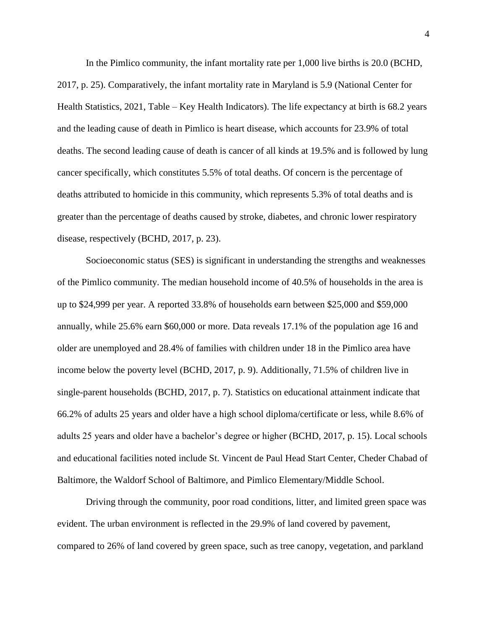In the Pimlico community, the infant mortality rate per 1,000 live births is 20.0 (BCHD, 2017, p. 25). Comparatively, the infant mortality rate in Maryland is 5.9 (National Center for Health Statistics, 2021, Table – Key Health Indicators). The life expectancy at birth is 68.2 years and the leading cause of death in Pimlico is heart disease, which accounts for 23.9% of total deaths. The second leading cause of death is cancer of all kinds at 19.5% and is followed by lung cancer specifically, which constitutes 5.5% of total deaths. Of concern is the percentage of deaths attributed to homicide in this community, which represents 5.3% of total deaths and is greater than the percentage of deaths caused by stroke, diabetes, and chronic lower respiratory disease, respectively (BCHD, 2017, p. 23).

Socioeconomic status (SES) is significant in understanding the strengths and weaknesses of the Pimlico community. The median household income of 40.5% of households in the area is up to \$24,999 per year. A reported 33.8% of households earn between \$25,000 and \$59,000 annually, while 25.6% earn \$60,000 or more. Data reveals 17.1% of the population age 16 and older are unemployed and 28.4% of families with children under 18 in the Pimlico area have income below the poverty level (BCHD, 2017, p. 9). Additionally, 71.5% of children live in single-parent households (BCHD, 2017, p. 7). Statistics on educational attainment indicate that 66.2% of adults 25 years and older have a high school diploma/certificate or less, while 8.6% of adults 25 years and older have a bachelor's degree or higher (BCHD, 2017, p. 15). Local schools and educational facilities noted include St. Vincent de Paul Head Start Center, Cheder Chabad of Baltimore, the Waldorf School of Baltimore, and Pimlico Elementary/Middle School.

Driving through the community, poor road conditions, litter, and limited green space was evident. The urban environment is reflected in the 29.9% of land covered by pavement, compared to 26% of land covered by green space, such as tree canopy, vegetation, and parkland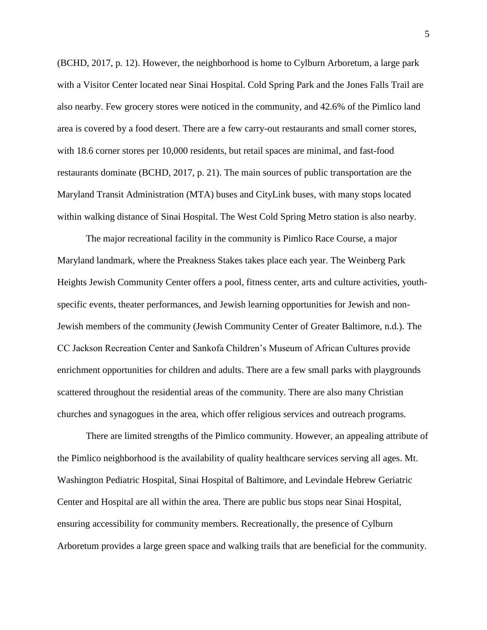(BCHD, 2017, p. 12). However, the neighborhood is home to Cylburn Arboretum, a large park with a Visitor Center located near Sinai Hospital. Cold Spring Park and the Jones Falls Trail are also nearby. Few grocery stores were noticed in the community, and 42.6% of the Pimlico land area is covered by a food desert. There are a few carry-out restaurants and small corner stores, with 18.6 corner stores per 10,000 residents, but retail spaces are minimal, and fast-food restaurants dominate (BCHD, 2017, p. 21). The main sources of public transportation are the Maryland Transit Administration (MTA) buses and CityLink buses, with many stops located within walking distance of Sinai Hospital. The West Cold Spring Metro station is also nearby.

The major recreational facility in the community is Pimlico Race Course, a major Maryland landmark, where the Preakness Stakes takes place each year. The Weinberg Park Heights Jewish Community Center offers a pool, fitness center, arts and culture activities, youthspecific events, theater performances, and Jewish learning opportunities for Jewish and non-Jewish members of the community (Jewish Community Center of Greater Baltimore, n.d.). The CC Jackson Recreation Center and Sankofa Children's Museum of African Cultures provide enrichment opportunities for children and adults. There are a few small parks with playgrounds scattered throughout the residential areas of the community. There are also many Christian churches and synagogues in the area, which offer religious services and outreach programs.

There are limited strengths of the Pimlico community. However, an appealing attribute of the Pimlico neighborhood is the availability of quality healthcare services serving all ages. Mt. Washington Pediatric Hospital, Sinai Hospital of Baltimore, and Levindale Hebrew Geriatric Center and Hospital are all within the area. There are public bus stops near Sinai Hospital, ensuring accessibility for community members. Recreationally, the presence of Cylburn Arboretum provides a large green space and walking trails that are beneficial for the community.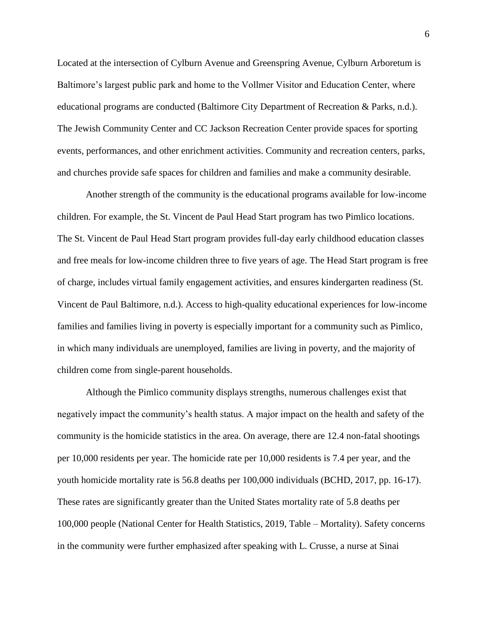Located at the intersection of Cylburn Avenue and Greenspring Avenue, Cylburn Arboretum is Baltimore's largest public park and home to the Vollmer Visitor and Education Center, where educational programs are conducted (Baltimore City Department of Recreation & Parks, n.d.). The Jewish Community Center and CC Jackson Recreation Center provide spaces for sporting events, performances, and other enrichment activities. Community and recreation centers, parks, and churches provide safe spaces for children and families and make a community desirable.

Another strength of the community is the educational programs available for low-income children. For example, the St. Vincent de Paul Head Start program has two Pimlico locations. The St. Vincent de Paul Head Start program provides full-day early childhood education classes and free meals for low-income children three to five years of age. The Head Start program is free of charge, includes virtual family engagement activities, and ensures kindergarten readiness (St. Vincent de Paul Baltimore, n.d.). Access to high-quality educational experiences for low-income families and families living in poverty is especially important for a community such as Pimlico, in which many individuals are unemployed, families are living in poverty, and the majority of children come from single-parent households.

Although the Pimlico community displays strengths, numerous challenges exist that negatively impact the community's health status. A major impact on the health and safety of the community is the homicide statistics in the area. On average, there are 12.4 non-fatal shootings per 10,000 residents per year. The homicide rate per 10,000 residents is 7.4 per year, and the youth homicide mortality rate is 56.8 deaths per 100,000 individuals (BCHD, 2017, pp. 16-17). These rates are significantly greater than the United States mortality rate of 5.8 deaths per 100,000 people (National Center for Health Statistics, 2019, Table – Mortality). Safety concerns in the community were further emphasized after speaking with L. Crusse, a nurse at Sinai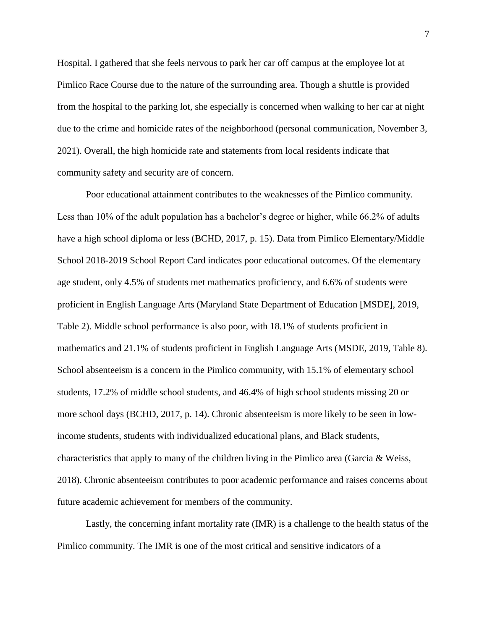Hospital. I gathered that she feels nervous to park her car off campus at the employee lot at Pimlico Race Course due to the nature of the surrounding area. Though a shuttle is provided from the hospital to the parking lot, she especially is concerned when walking to her car at night due to the crime and homicide rates of the neighborhood (personal communication, November 3, 2021). Overall, the high homicide rate and statements from local residents indicate that community safety and security are of concern.

Poor educational attainment contributes to the weaknesses of the Pimlico community. Less than 10% of the adult population has a bachelor's degree or higher, while 66.2% of adults have a high school diploma or less (BCHD, 2017, p. 15). Data from Pimlico Elementary/Middle School 2018-2019 School Report Card indicates poor educational outcomes. Of the elementary age student, only 4.5% of students met mathematics proficiency, and 6.6% of students were proficient in English Language Arts (Maryland State Department of Education [MSDE], 2019, Table 2). Middle school performance is also poor, with 18.1% of students proficient in mathematics and 21.1% of students proficient in English Language Arts (MSDE, 2019, Table 8). School absenteeism is a concern in the Pimlico community, with 15.1% of elementary school students, 17.2% of middle school students, and 46.4% of high school students missing 20 or more school days (BCHD, 2017, p. 14). Chronic absenteeism is more likely to be seen in lowincome students, students with individualized educational plans, and Black students, characteristics that apply to many of the children living in the Pimlico area (Garcia & Weiss, 2018). Chronic absenteeism contributes to poor academic performance and raises concerns about future academic achievement for members of the community.

Lastly, the concerning infant mortality rate (IMR) is a challenge to the health status of the Pimlico community. The IMR is one of the most critical and sensitive indicators of a

7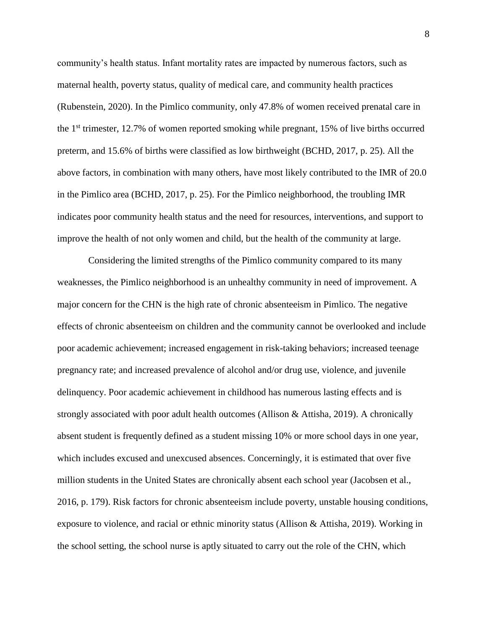community's health status. Infant mortality rates are impacted by numerous factors, such as maternal health, poverty status, quality of medical care, and community health practices (Rubenstein, 2020). In the Pimlico community, only 47.8% of women received prenatal care in the  $1<sup>st</sup>$  trimester, 12.7% of women reported smoking while pregnant, 15% of live births occurred preterm, and 15.6% of births were classified as low birthweight (BCHD, 2017, p. 25). All the above factors, in combination with many others, have most likely contributed to the IMR of 20.0 in the Pimlico area (BCHD, 2017, p. 25). For the Pimlico neighborhood, the troubling IMR indicates poor community health status and the need for resources, interventions, and support to improve the health of not only women and child, but the health of the community at large.

Considering the limited strengths of the Pimlico community compared to its many weaknesses, the Pimlico neighborhood is an unhealthy community in need of improvement. A major concern for the CHN is the high rate of chronic absenteeism in Pimlico. The negative effects of chronic absenteeism on children and the community cannot be overlooked and include poor academic achievement; increased engagement in risk-taking behaviors; increased teenage pregnancy rate; and increased prevalence of alcohol and/or drug use, violence, and juvenile delinquency. Poor academic achievement in childhood has numerous lasting effects and is strongly associated with poor adult health outcomes (Allison & Attisha, 2019). A chronically absent student is frequently defined as a student missing 10% or more school days in one year, which includes excused and unexcused absences. Concerningly, it is estimated that over five million students in the United States are chronically absent each school year (Jacobsen et al., 2016, p. 179). Risk factors for chronic absenteeism include poverty, unstable housing conditions, exposure to violence, and racial or ethnic minority status (Allison & Attisha, 2019). Working in the school setting, the school nurse is aptly situated to carry out the role of the CHN, which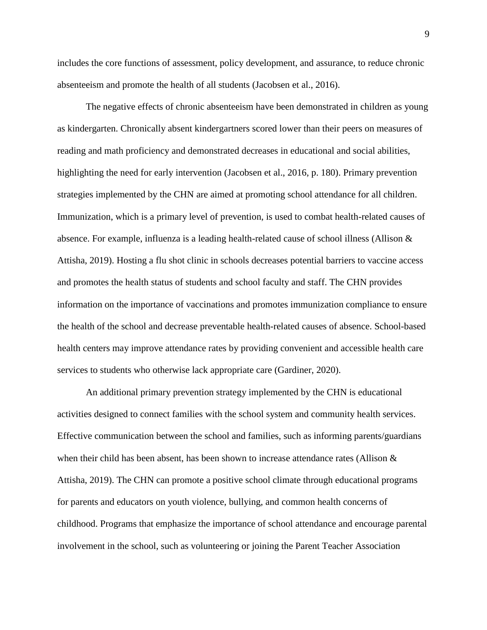includes the core functions of assessment, policy development, and assurance, to reduce chronic absenteeism and promote the health of all students (Jacobsen et al., 2016).

The negative effects of chronic absenteeism have been demonstrated in children as young as kindergarten. Chronically absent kindergartners scored lower than their peers on measures of reading and math proficiency and demonstrated decreases in educational and social abilities, highlighting the need for early intervention (Jacobsen et al., 2016, p. 180). Primary prevention strategies implemented by the CHN are aimed at promoting school attendance for all children. Immunization, which is a primary level of prevention, is used to combat health-related causes of absence. For example, influenza is a leading health-related cause of school illness (Allison & Attisha, 2019). Hosting a flu shot clinic in schools decreases potential barriers to vaccine access and promotes the health status of students and school faculty and staff. The CHN provides information on the importance of vaccinations and promotes immunization compliance to ensure the health of the school and decrease preventable health-related causes of absence. School-based health centers may improve attendance rates by providing convenient and accessible health care services to students who otherwise lack appropriate care (Gardiner, 2020).

An additional primary prevention strategy implemented by the CHN is educational activities designed to connect families with the school system and community health services. Effective communication between the school and families, such as informing parents/guardians when their child has been absent, has been shown to increase attendance rates (Allison & Attisha, 2019). The CHN can promote a positive school climate through educational programs for parents and educators on youth violence, bullying, and common health concerns of childhood. Programs that emphasize the importance of school attendance and encourage parental involvement in the school, such as volunteering or joining the Parent Teacher Association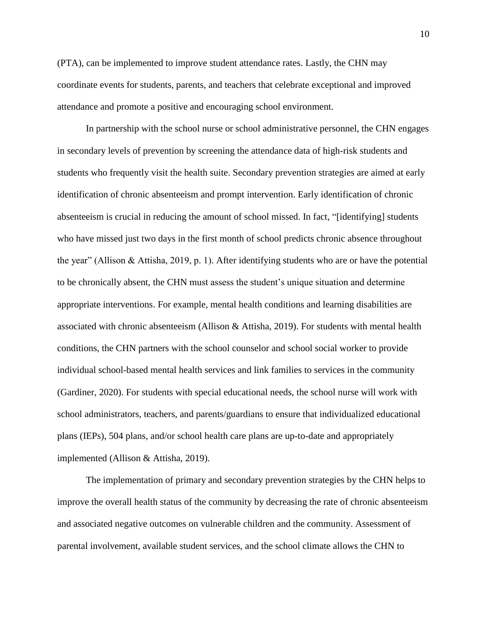(PTA), can be implemented to improve student attendance rates. Lastly, the CHN may coordinate events for students, parents, and teachers that celebrate exceptional and improved attendance and promote a positive and encouraging school environment.

In partnership with the school nurse or school administrative personnel, the CHN engages in secondary levels of prevention by screening the attendance data of high-risk students and students who frequently visit the health suite. Secondary prevention strategies are aimed at early identification of chronic absenteeism and prompt intervention. Early identification of chronic absenteeism is crucial in reducing the amount of school missed. In fact, "[identifying] students who have missed just two days in the first month of school predicts chronic absence throughout the year" (Allison & Attisha, 2019, p. 1). After identifying students who are or have the potential to be chronically absent, the CHN must assess the student's unique situation and determine appropriate interventions. For example, mental health conditions and learning disabilities are associated with chronic absenteeism (Allison & Attisha, 2019). For students with mental health conditions, the CHN partners with the school counselor and school social worker to provide individual school-based mental health services and link families to services in the community (Gardiner, 2020). For students with special educational needs, the school nurse will work with school administrators, teachers, and parents/guardians to ensure that individualized educational plans (IEPs), 504 plans, and/or school health care plans are up-to-date and appropriately implemented (Allison & Attisha, 2019).

The implementation of primary and secondary prevention strategies by the CHN helps to improve the overall health status of the community by decreasing the rate of chronic absenteeism and associated negative outcomes on vulnerable children and the community. Assessment of parental involvement, available student services, and the school climate allows the CHN to

10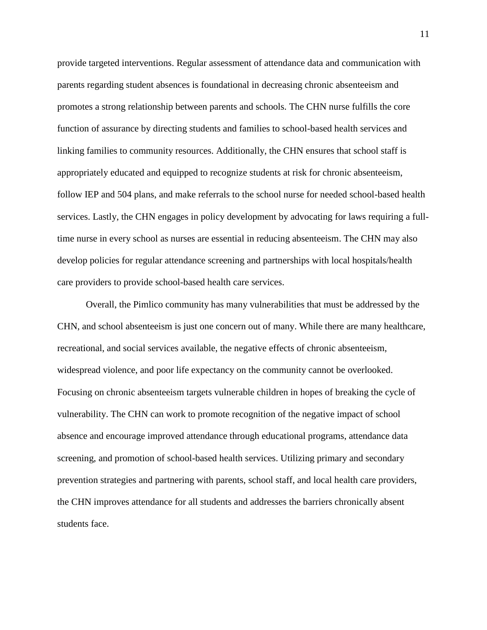provide targeted interventions. Regular assessment of attendance data and communication with parents regarding student absences is foundational in decreasing chronic absenteeism and promotes a strong relationship between parents and schools. The CHN nurse fulfills the core function of assurance by directing students and families to school-based health services and linking families to community resources. Additionally, the CHN ensures that school staff is appropriately educated and equipped to recognize students at risk for chronic absenteeism, follow IEP and 504 plans, and make referrals to the school nurse for needed school-based health services. Lastly, the CHN engages in policy development by advocating for laws requiring a fulltime nurse in every school as nurses are essential in reducing absenteeism. The CHN may also develop policies for regular attendance screening and partnerships with local hospitals/health care providers to provide school-based health care services.

Overall, the Pimlico community has many vulnerabilities that must be addressed by the CHN, and school absenteeism is just one concern out of many. While there are many healthcare, recreational, and social services available, the negative effects of chronic absenteeism, widespread violence, and poor life expectancy on the community cannot be overlooked. Focusing on chronic absenteeism targets vulnerable children in hopes of breaking the cycle of vulnerability. The CHN can work to promote recognition of the negative impact of school absence and encourage improved attendance through educational programs, attendance data screening, and promotion of school-based health services. Utilizing primary and secondary prevention strategies and partnering with parents, school staff, and local health care providers, the CHN improves attendance for all students and addresses the barriers chronically absent students face.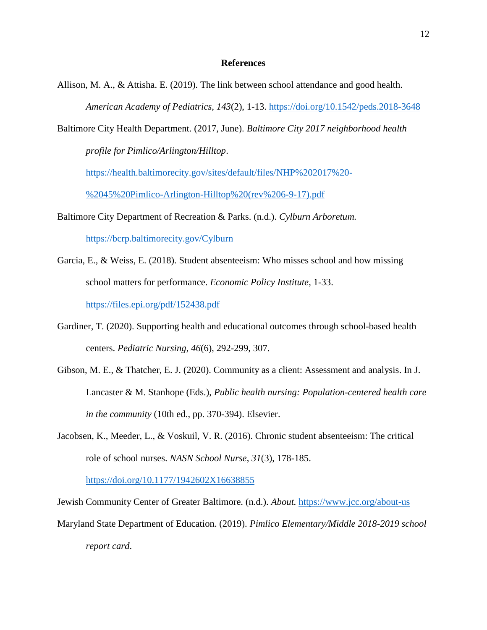## **References**

- Allison, M. A., & Attisha. E. (2019). The link between school attendance and good health. *American Academy of Pediatrics, 143*(2), 1-13.<https://doi.org/10.1542/peds.2018-3648>
- Baltimore City Health Department. (2017, June). *Baltimore City 2017 neighborhood health*

*profile for Pimlico/Arlington/Hilltop*.

[https://health.baltimorecity.gov/sites/default/files/NHP%202017%20-](https://health.baltimorecity.gov/sites/default/files/NHP%202017%20-%2045%20Pimlico-Arlington-Hilltop%20(rev%206-9-17).pdf)

[%2045%20Pimlico-Arlington-Hilltop%20\(rev%206-9-17\).pdf](https://health.baltimorecity.gov/sites/default/files/NHP%202017%20-%2045%20Pimlico-Arlington-Hilltop%20(rev%206-9-17).pdf)

Baltimore City Department of Recreation & Parks. (n.d.). *Cylburn Arboretum.* 

<https://bcrp.baltimorecity.gov/Cylburn>

- Garcia, E., & Weiss, E. (2018). Student absenteeism: Who misses school and how missing school matters for performance. *Economic Policy Institute,* 1-33. <https://files.epi.org/pdf/152438.pdf>
- Gardiner, T. (2020). Supporting health and educational outcomes through school-based health centers. *Pediatric Nursing, 46*(6), 292-299, 307.
- Gibson, M. E., & Thatcher, E. J. (2020). Community as a client: Assessment and analysis. In J. Lancaster & M. Stanhope (Eds.), *Public health nursing: Population-centered health care in the community* (10th ed., pp. 370-394). Elsevier.
- Jacobsen, K., Meeder, L., & Voskuil, V. R. (2016). Chronic student absenteeism: The critical role of school nurses. *NASN School Nurse*, *31*(3), 178-185.

<https://doi.org/10.1177/1942602X16638855>

Jewish Community Center of Greater Baltimore. (n.d.). *About.* <https://www.jcc.org/about-us> Maryland State Department of Education. (2019). *Pimlico Elementary/Middle 2018-2019 school report card*.